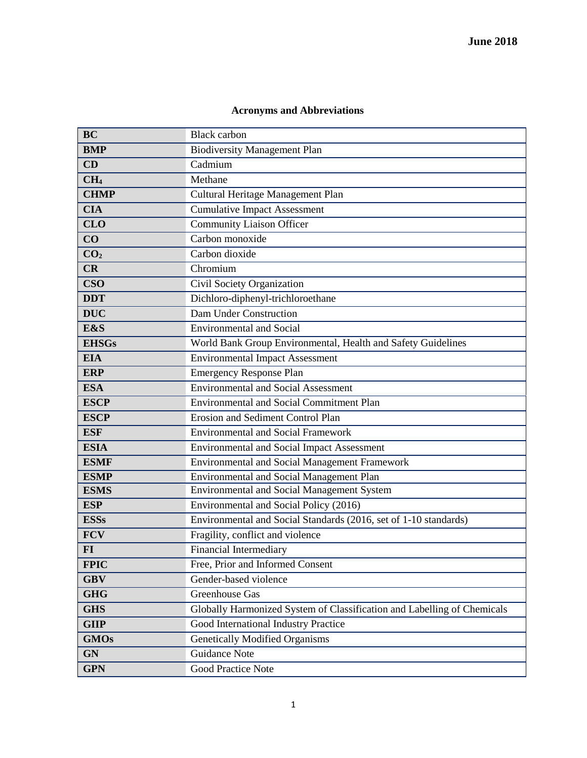## **Acronyms and Abbreviations**

| <b>BC</b>       | <b>Black carbon</b>                                                     |
|-----------------|-------------------------------------------------------------------------|
| <b>BMP</b>      | <b>Biodiversity Management Plan</b>                                     |
| CD              | Cadmium                                                                 |
| CH <sub>4</sub> | Methane                                                                 |
| <b>CHMP</b>     | Cultural Heritage Management Plan                                       |
| <b>CIA</b>      | <b>Cumulative Impact Assessment</b>                                     |
| <b>CLO</b>      | <b>Community Liaison Officer</b>                                        |
| CO              | Carbon monoxide                                                         |
| CO <sub>2</sub> | Carbon dioxide                                                          |
| CR              | Chromium                                                                |
| <b>CSO</b>      | Civil Society Organization                                              |
| <b>DDT</b>      | Dichloro-diphenyl-trichloroethane                                       |
| <b>DUC</b>      | Dam Under Construction                                                  |
| E&S             | <b>Environmental and Social</b>                                         |
| <b>EHSGs</b>    | World Bank Group Environmental, Health and Safety Guidelines            |
| <b>EIA</b>      | <b>Environmental Impact Assessment</b>                                  |
| <b>ERP</b>      | <b>Emergency Response Plan</b>                                          |
| <b>ESA</b>      | <b>Environmental and Social Assessment</b>                              |
| <b>ESCP</b>     | <b>Environmental and Social Commitment Plan</b>                         |
| <b>ESCP</b>     | Erosion and Sediment Control Plan                                       |
| <b>ESF</b>      | <b>Environmental and Social Framework</b>                               |
| <b>ESIA</b>     | <b>Environmental and Social Impact Assessment</b>                       |
| <b>ESMF</b>     | <b>Environmental and Social Management Framework</b>                    |
| <b>ESMP</b>     | <b>Environmental and Social Management Plan</b>                         |
| <b>ESMS</b>     | <b>Environmental and Social Management System</b>                       |
| <b>ESP</b>      | Environmental and Social Policy (2016)                                  |
| <b>ESSs</b>     | Environmental and Social Standards (2016, set of 1-10 standards)        |
| <b>FCV</b>      | Fragility, conflict and violence                                        |
| $FI$            | <b>Financial Intermediary</b>                                           |
| <b>FPIC</b>     | Free, Prior and Informed Consent                                        |
| <b>GBV</b>      | Gender-based violence                                                   |
| <b>GHG</b>      | Greenhouse Gas                                                          |
| <b>GHS</b>      | Globally Harmonized System of Classification and Labelling of Chemicals |
| <b>GIIP</b>     | Good International Industry Practice                                    |
| <b>GMOs</b>     | <b>Genetically Modified Organisms</b>                                   |
| <b>GN</b>       | Guidance Note                                                           |
| <b>GPN</b>      | <b>Good Practice Note</b>                                               |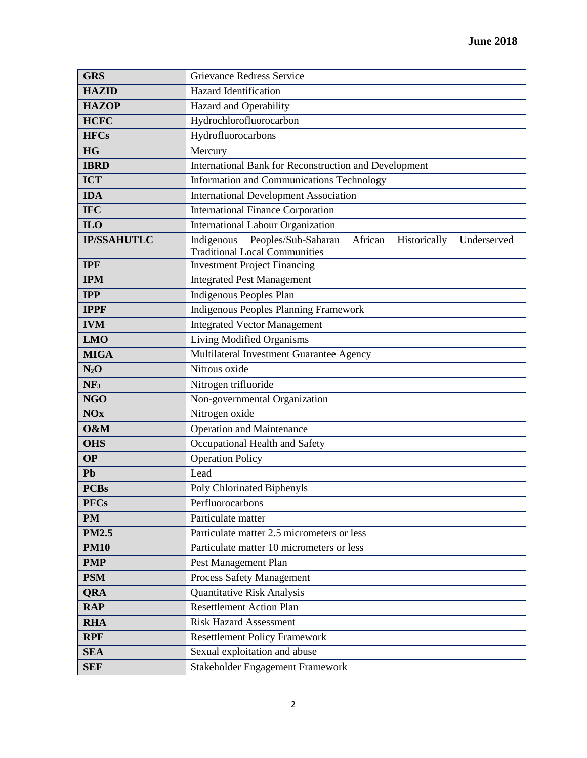| <b>GRS</b>         | Grievance Redress Service                                                                                           |
|--------------------|---------------------------------------------------------------------------------------------------------------------|
| <b>HAZID</b>       | <b>Hazard Identification</b>                                                                                        |
| <b>HAZOP</b>       | Hazard and Operability                                                                                              |
| <b>HCFC</b>        | Hydrochlorofluorocarbon                                                                                             |
| <b>HFCs</b>        | Hydrofluorocarbons                                                                                                  |
| <b>HG</b>          | Mercury                                                                                                             |
| <b>IBRD</b>        | International Bank for Reconstruction and Development                                                               |
| <b>ICT</b>         | Information and Communications Technology                                                                           |
| <b>IDA</b>         | <b>International Development Association</b>                                                                        |
| <b>IFC</b>         | <b>International Finance Corporation</b>                                                                            |
| IL <sub>0</sub>    | <b>International Labour Organization</b>                                                                            |
| <b>IP/SSAHUTLC</b> | Peoples/Sub-Saharan<br>Indigenous<br>African<br>Historically<br>Underserved<br><b>Traditional Local Communities</b> |
| <b>IPF</b>         | <b>Investment Project Financing</b>                                                                                 |
| <b>IPM</b>         | <b>Integrated Pest Management</b>                                                                                   |
| <b>IPP</b>         | Indigenous Peoples Plan                                                                                             |
| <b>IPPF</b>        | <b>Indigenous Peoples Planning Framework</b>                                                                        |
| <b>IVM</b>         | <b>Integrated Vector Management</b>                                                                                 |
| <b>LMO</b>         | Living Modified Organisms                                                                                           |
| <b>MIGA</b>        | Multilateral Investment Guarantee Agency                                                                            |
| $N_2O$             | Nitrous oxide                                                                                                       |
| NF <sub>3</sub>    | Nitrogen trifluoride                                                                                                |
| <b>NGO</b>         | Non-governmental Organization                                                                                       |
| <b>NOx</b>         | Nitrogen oxide                                                                                                      |
| O&M                | Operation and Maintenance                                                                                           |
| <b>OHS</b>         | Occupational Health and Safety                                                                                      |
| <b>OP</b>          | <b>Operation Policy</b>                                                                                             |
| Pb                 | Lead                                                                                                                |
| <b>PCBs</b>        | Poly Chlorinated Biphenyls                                                                                          |
| <b>PFCs</b>        | Perfluorocarbons                                                                                                    |
| <b>PM</b>          | Particulate matter                                                                                                  |
| <b>PM2.5</b>       | Particulate matter 2.5 micrometers or less                                                                          |
| <b>PM10</b>        | Particulate matter 10 micrometers or less                                                                           |
| <b>PMP</b>         | Pest Management Plan                                                                                                |
| <b>PSM</b>         | Process Safety Management                                                                                           |
| <b>QRA</b>         | Quantitative Risk Analysis                                                                                          |
| <b>RAP</b>         | <b>Resettlement Action Plan</b>                                                                                     |
| <b>RHA</b>         | <b>Risk Hazard Assessment</b>                                                                                       |
| <b>RPF</b>         | <b>Resettlement Policy Framework</b>                                                                                |
| <b>SEA</b>         | Sexual exploitation and abuse                                                                                       |
| <b>SEF</b>         | Stakeholder Engagement Framework                                                                                    |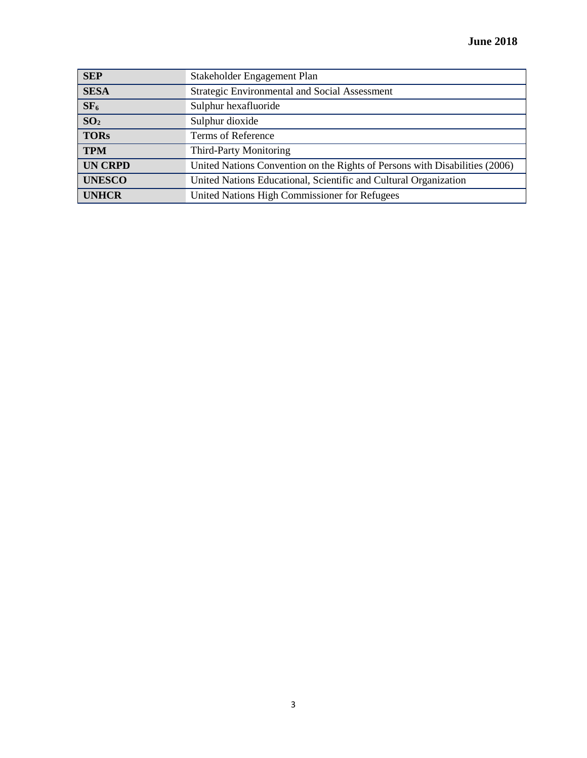| <b>SEP</b>      | Stakeholder Engagement Plan                                                 |
|-----------------|-----------------------------------------------------------------------------|
| <b>SESA</b>     | <b>Strategic Environmental and Social Assessment</b>                        |
| SF <sub>6</sub> | Sulphur hexafluoride                                                        |
| SO <sub>2</sub> | Sulphur dioxide                                                             |
| <b>TORs</b>     | Terms of Reference                                                          |
| <b>TPM</b>      | <b>Third-Party Monitoring</b>                                               |
| <b>UN CRPD</b>  | United Nations Convention on the Rights of Persons with Disabilities (2006) |
| <b>UNESCO</b>   | United Nations Educational, Scientific and Cultural Organization            |
| <b>UNHCR</b>    | United Nations High Commissioner for Refugees                               |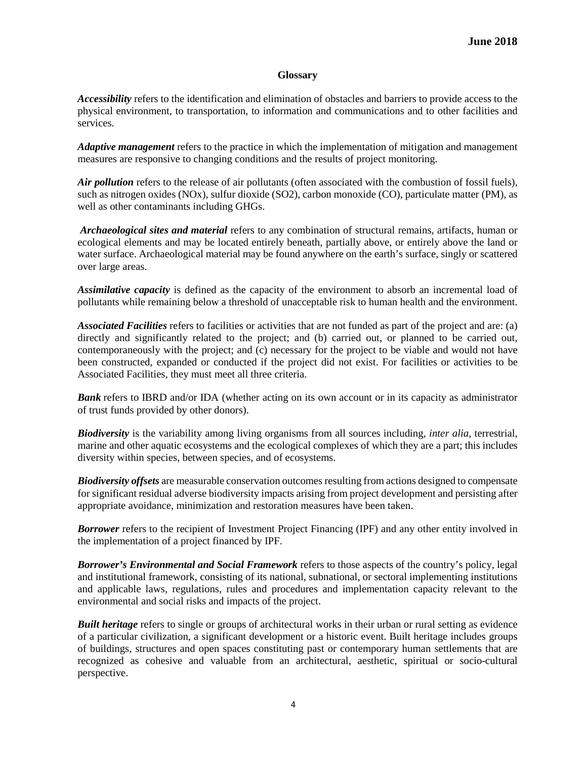## **Glossary**

*Accessibility* refers to the identification and elimination of obstacles and barriers to provide access to the physical environment, to transportation, to information and communications and to other facilities and services.

*Adaptive management* refers to the practice in which the implementation of mitigation and management measures are responsive to changing conditions and the results of project monitoring.

*Air pollution* refers to the release of air pollutants (often associated with the combustion of fossil fuels), such as nitrogen oxides (NOx), sulfur dioxide (SO2), carbon monoxide (CO), particulate matter (PM), as well as other contaminants including GHGs.

*Archaeological sites and material* refers to any combination of structural remains, artifacts, human or ecological elements and may be located entirely beneath, partially above, or entirely above the land or water surface. Archaeological material may be found anywhere on the earth's surface, singly or scattered over large areas.

*Assimilative capacity* is defined as the capacity of the environment to absorb an incremental load of pollutants while remaining below a threshold of unacceptable risk to human health and the environment.

*Associated Facilities* refers to facilities or activities that are not funded as part of the project and are: (a) directly and significantly related to the project; and (b) carried out, or planned to be carried out, contemporaneously with the project; and (c) necessary for the project to be viable and would not have been constructed, expanded or conducted if the project did not exist. For facilities or activities to be Associated Facilities, they must meet all three criteria.

*Bank* refers to IBRD and/or IDA (whether acting on its own account or in its capacity as administrator of trust funds provided by other donors).

*Biodiversity* is the variability among living organisms from all sources including, *inter alia*, terrestrial, marine and other aquatic ecosystems and the ecological complexes of which they are a part; this includes diversity within species, between species, and of ecosystems.

*Biodiversity offsets* are measurable conservation outcomes resulting from actions designed to compensate for significant residual adverse biodiversity impacts arising from project development and persisting after appropriate avoidance, minimization and restoration measures have been taken.

**Borrower** refers to the recipient of Investment Project Financing (IPF) and any other entity involved in the implementation of a project financed by IPF.

*Borrower's Environmental and Social Framework* refers to those aspects of the country's policy, legal and institutional framework, consisting of its national, subnational, or sectoral implementing institutions and applicable laws, regulations, rules and procedures and implementation capacity relevant to the environmental and social risks and impacts of the project.

*Built heritage* refers to single or groups of architectural works in their urban or rural setting as evidence of a particular civilization, a significant development or a historic event. Built heritage includes groups of buildings, structures and open spaces constituting past or contemporary human settlements that are recognized as cohesive and valuable from an architectural, aesthetic, spiritual or socio-cultural perspective.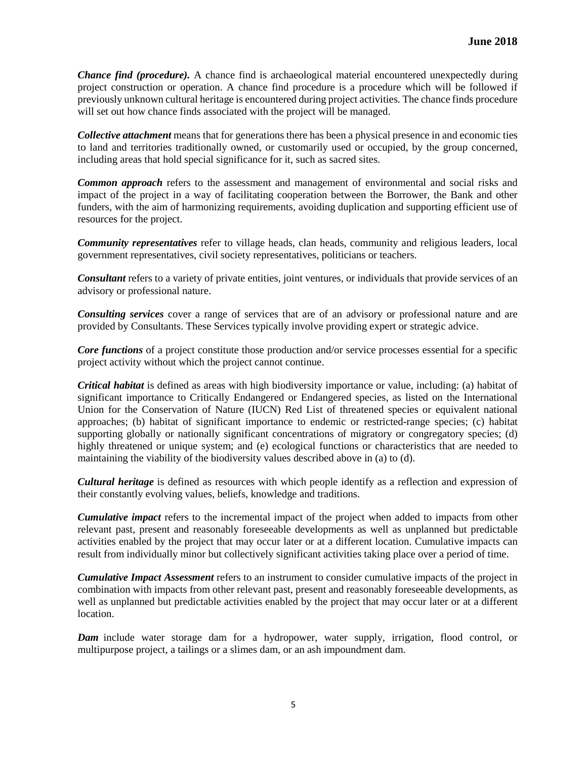*Chance find (procedure).* A chance find is archaeological material encountered unexpectedly during project construction or operation. A chance find procedure is a procedure which will be followed if previously unknown cultural heritage is encountered during project activities. The chance finds procedure will set out how chance finds associated with the project will be managed.

*Collective attachment* means that for generations there has been a physical presence in and economic ties to land and territories traditionally owned, or customarily used or occupied, by the group concerned, including areas that hold special significance for it, such as sacred sites.

*Common approach* refers to the assessment and management of environmental and social risks and impact of the project in a way of facilitating cooperation between the Borrower, the Bank and other funders, with the aim of harmonizing requirements, avoiding duplication and supporting efficient use of resources for the project.

*Community representatives* refer to village heads, clan heads, community and religious leaders, local government representatives, civil society representatives, politicians or teachers.

*Consultant* refers to a variety of private entities, joint ventures, or individuals that provide services of an advisory or professional nature.

*Consulting services* cover a range of services that are of an advisory or professional nature and are provided by Consultants. These Services typically involve providing expert or strategic advice.

*Core functions* of a project constitute those production and/or service processes essential for a specific project activity without which the project cannot continue.

*Critical habitat* is defined as areas with high biodiversity importance or value, including: (a) habitat of significant importance to Critically Endangered or Endangered species, as listed on the International Union for the Conservation of Nature (IUCN) Red List of threatened species or equivalent national approaches; (b) habitat of significant importance to endemic or restricted-range species; (c) habitat supporting globally or nationally significant concentrations of migratory or congregatory species; (d) highly threatened or unique system; and (e) ecological functions or characteristics that are needed to maintaining the viability of the biodiversity values described above in (a) to (d).

*Cultural heritage* is defined as resources with which people identify as a reflection and expression of their constantly evolving values, beliefs, knowledge and traditions.

*Cumulative impact* refers to the incremental impact of the project when added to impacts from other relevant past, present and reasonably foreseeable developments as well as unplanned but predictable activities enabled by the project that may occur later or at a different location. Cumulative impacts can result from individually minor but collectively significant activities taking place over a period of time.

*Cumulative Impact Assessment* refers to an instrument to consider cumulative impacts of the project in combination with impacts from other relevant past, present and reasonably foreseeable developments, as well as unplanned but predictable activities enabled by the project that may occur later or at a different location.

*Dam* include water storage dam for a hydropower, water supply, irrigation, flood control, or multipurpose project, a tailings or a slimes dam, or an ash impoundment dam.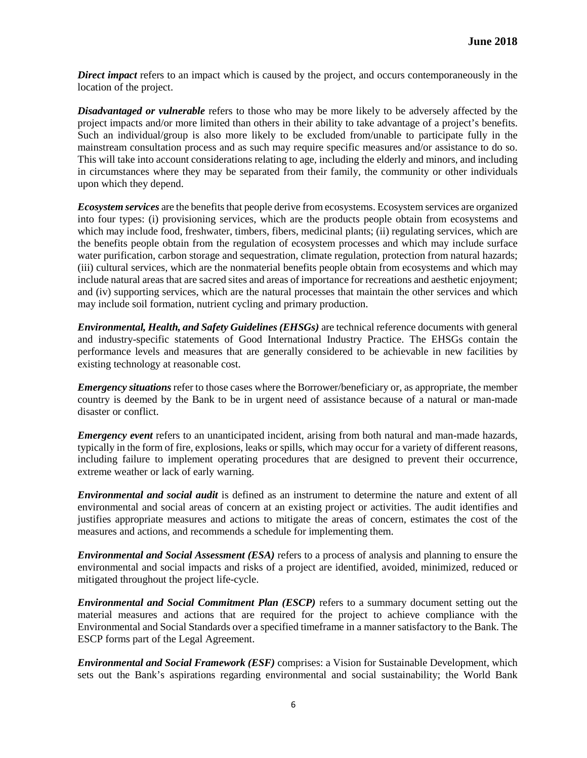*Direct impact* refers to an impact which is caused by the project, and occurs contemporaneously in the location of the project.

*Disadvantaged or vulnerable* refers to those who may be more likely to be adversely affected by the project impacts and/or more limited than others in their ability to take advantage of a project's benefits. Such an individual/group is also more likely to be excluded from/unable to participate fully in the mainstream consultation process and as such may require specific measures and/or assistance to do so. This will take into account considerations relating to age, including the elderly and minors, and including in circumstances where they may be separated from their family, the community or other individuals upon which they depend.

*Ecosystem services* are the benefits that people derive from ecosystems. Ecosystem services are organized into four types: (i) provisioning services, which are the products people obtain from ecosystems and which may include food, freshwater, timbers, fibers, medicinal plants; (ii) regulating services, which are the benefits people obtain from the regulation of ecosystem processes and which may include surface water purification, carbon storage and sequestration, climate regulation, protection from natural hazards; (iii) cultural services, which are the nonmaterial benefits people obtain from ecosystems and which may include natural areas that are sacred sites and areas of importance for recreations and aesthetic enjoyment; and (iv) supporting services, which are the natural processes that maintain the other services and which may include soil formation, nutrient cycling and primary production.

*Environmental, Health, and Safety Guidelines (EHSGs)* are technical reference documents with general and industry-specific statements of Good International Industry Practice. The EHSGs contain the performance levels and measures that are generally considered to be achievable in new facilities by existing technology at reasonable cost.

*Emergency situations* refer to those cases where the Borrower/beneficiary or, as appropriate, the member country is deemed by the Bank to be in urgent need of assistance because of a natural or man-made disaster or conflict.

*Emergency event* refers to an unanticipated incident, arising from both natural and man-made hazards, typically in the form of fire, explosions, leaks or spills, which may occur for a variety of different reasons, including failure to implement operating procedures that are designed to prevent their occurrence, extreme weather or lack of early warning.

*Environmental and social audit* is defined as an instrument to determine the nature and extent of all environmental and social areas of concern at an existing project or activities. The audit identifies and justifies appropriate measures and actions to mitigate the areas of concern, estimates the cost of the measures and actions, and recommends a schedule for implementing them.

*Environmental and Social Assessment (ESA)* refers to a process of analysis and planning to ensure the environmental and social impacts and risks of a project are identified, avoided, minimized, reduced or mitigated throughout the project life-cycle.

*Environmental and Social Commitment Plan (ESCP)* refers to a summary document setting out the material measures and actions that are required for the project to achieve compliance with the Environmental and Social Standards over a specified timeframe in a manner satisfactory to the Bank. The ESCP forms part of the Legal Agreement.

*Environmental and Social Framework (ESF)* comprises: a Vision for Sustainable Development, which sets out the Bank's aspirations regarding environmental and social sustainability; the World Bank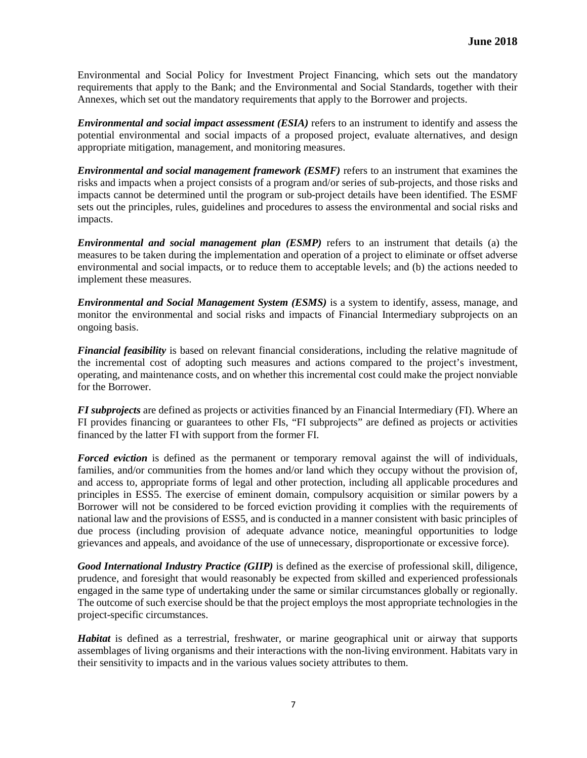Environmental and Social Policy for Investment Project Financing, which sets out the mandatory requirements that apply to the Bank; and the Environmental and Social Standards, together with their Annexes, which set out the mandatory requirements that apply to the Borrower and projects.

*Environmental and social impact assessment (ESIA)* refers to an instrument to identify and assess the potential environmental and social impacts of a proposed project, evaluate alternatives, and design appropriate mitigation, management, and monitoring measures.

*Environmental and social management framework (ESMF)* refers to an instrument that examines the risks and impacts when a project consists of a program and/or series of sub-projects, and those risks and impacts cannot be determined until the program or sub-project details have been identified. The ESMF sets out the principles, rules, guidelines and procedures to assess the environmental and social risks and impacts.

*Environmental and social management plan (ESMP)* refers to an instrument that details (a) the measures to be taken during the implementation and operation of a project to eliminate or offset adverse environmental and social impacts, or to reduce them to acceptable levels; and (b) the actions needed to implement these measures.

*Environmental and Social Management System (ESMS)* is a system to identify, assess, manage, and monitor the environmental and social risks and impacts of Financial Intermediary subprojects on an ongoing basis.

*Financial feasibility* is based on relevant financial considerations, including the relative magnitude of the incremental cost of adopting such measures and actions compared to the project's investment, operating, and maintenance costs, and on whether this incremental cost could make the project nonviable for the Borrower.

*FI subprojects* are defined as projects or activities financed by an Financial Intermediary (FI). Where an FI provides financing or guarantees to other FIs, "FI subprojects" are defined as projects or activities financed by the latter FI with support from the former FI.

*Forced eviction* is defined as the permanent or temporary removal against the will of individuals, families, and/or communities from the homes and/or land which they occupy without the provision of, and access to, appropriate forms of legal and other protection, including all applicable procedures and principles in ESS5. The exercise of eminent domain, compulsory acquisition or similar powers by a Borrower will not be considered to be forced eviction providing it complies with the requirements of national law and the provisions of ESS5, and is conducted in a manner consistent with basic principles of due process (including provision of adequate advance notice, meaningful opportunities to lodge grievances and appeals, and avoidance of the use of unnecessary, disproportionate or excessive force).

*Good International Industry Practice (GIIP)* is defined as the exercise of professional skill, diligence, prudence, and foresight that would reasonably be expected from skilled and experienced professionals engaged in the same type of undertaking under the same or similar circumstances globally or regionally. The outcome of such exercise should be that the project employs the most appropriate technologies in the project-specific circumstances.

*Habitat* is defined as a terrestrial, freshwater, or marine geographical unit or airway that supports assemblages of living organisms and their interactions with the non-living environment. Habitats vary in their sensitivity to impacts and in the various values society attributes to them.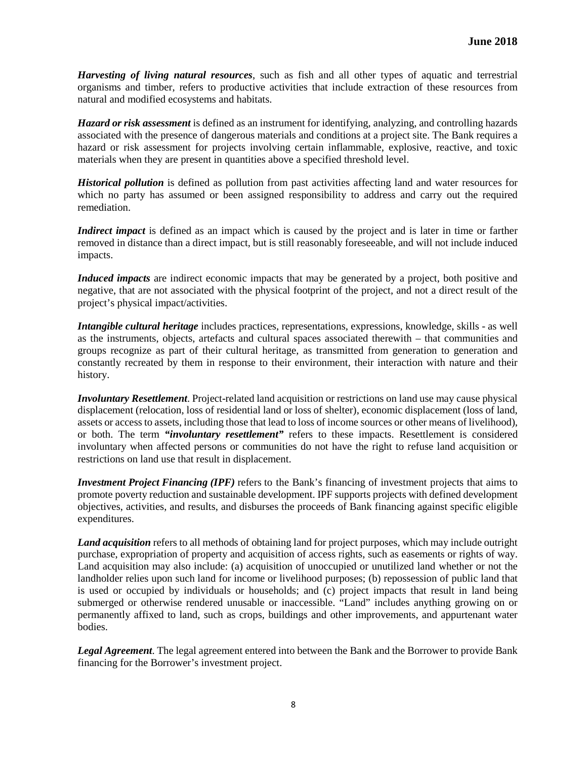*Harvesting of living natural resources*, such as fish and all other types of aquatic and terrestrial organisms and timber, refers to productive activities that include extraction of these resources from natural and modified ecosystems and habitats.

*Hazard or risk assessment* is defined as an instrument for identifying, analyzing, and controlling hazards associated with the presence of dangerous materials and conditions at a project site. The Bank requires a hazard or risk assessment for projects involving certain inflammable, explosive, reactive, and toxic materials when they are present in quantities above a specified threshold level.

*Historical pollution* is defined as pollution from past activities affecting land and water resources for which no party has assumed or been assigned responsibility to address and carry out the required remediation.

*Indirect impact* is defined as an impact which is caused by the project and is later in time or farther removed in distance than a direct impact, but is still reasonably foreseeable, and will not include induced impacts.

*Induced impacts* are indirect economic impacts that may be generated by a project, both positive and negative, that are not associated with the physical footprint of the project, and not a direct result of the project's physical impact/activities.

*Intangible cultural heritage* includes practices, representations, expressions, knowledge, skills - as well as the instruments, objects, artefacts and cultural spaces associated therewith – that communities and groups recognize as part of their cultural heritage, as transmitted from generation to generation and constantly recreated by them in response to their environment, their interaction with nature and their history.

*Involuntary Resettlement*. Project-related land acquisition or restrictions on land use may cause physical displacement (relocation, loss of residential land or loss of shelter), economic displacement (loss of land, assets or access to assets, including those that lead to loss of income sources or other means of livelihood), or both. The term *"involuntary resettlement"* refers to these impacts. Resettlement is considered involuntary when affected persons or communities do not have the right to refuse land acquisition or restrictions on land use that result in displacement.

*Investment Project Financing (IPF)* refers to the Bank's financing of investment projects that aims to promote poverty reduction and sustainable development. IPF supports projects with defined development objectives, activities, and results, and disburses the proceeds of Bank financing against specific eligible expenditures.

*Land acquisition* refers to all methods of obtaining land for project purposes, which may include outright purchase, expropriation of property and acquisition of access rights, such as easements or rights of way. Land acquisition may also include: (a) acquisition of unoccupied or unutilized land whether or not the landholder relies upon such land for income or livelihood purposes; (b) repossession of public land that is used or occupied by individuals or households; and (c) project impacts that result in land being submerged or otherwise rendered unusable or inaccessible. "Land" includes anything growing on or permanently affixed to land, such as crops, buildings and other improvements, and appurtenant water bodies.

*Legal Agreement*. The legal agreement entered into between the Bank and the Borrower to provide Bank financing for the Borrower's investment project.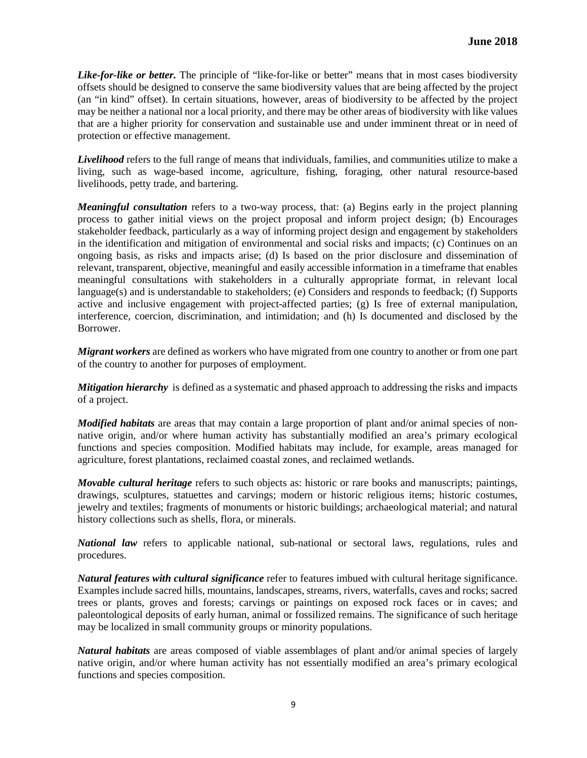*Like-for-like or better.* The principle of "like-for-like or better" means that in most cases biodiversity offsets should be designed to conserve the same biodiversity values that are being affected by the project (an "in kind" offset). In certain situations, however, areas of biodiversity to be affected by the project may be neither a national nor a local priority, and there may be other areas of biodiversity with like values that are a higher priority for conservation and sustainable use and under imminent threat or in need of protection or effective management.

*Livelihood* refers to the full range of means that individuals, families, and communities utilize to make a living, such as wage-based income, agriculture, fishing, foraging, other natural resource-based livelihoods, petty trade, and bartering.

*Meaningful consultation* refers to a two-way process, that: (a) Begins early in the project planning process to gather initial views on the project proposal and inform project design; (b) Encourages stakeholder feedback, particularly as a way of informing project design and engagement by stakeholders in the identification and mitigation of environmental and social risks and impacts; (c) Continues on an ongoing basis, as risks and impacts arise; (d) Is based on the prior disclosure and dissemination of relevant, transparent, objective, meaningful and easily accessible information in a timeframe that enables meaningful consultations with stakeholders in a culturally appropriate format, in relevant local language(s) and is understandable to stakeholders; (e) Considers and responds to feedback; (f) Supports active and inclusive engagement with project-affected parties; (g) Is free of external manipulation, interference, coercion, discrimination, and intimidation; and (h) Is documented and disclosed by the Borrower.

*Migrant workers* are defined as workers who have migrated from one country to another or from one part of the country to another for purposes of employment.

*Mitigation hierarchy* is defined as a systematic and phased approach to addressing the risks and impacts of a project.

*Modified habitats* are areas that may contain a large proportion of plant and/or animal species of nonnative origin, and/or where human activity has substantially modified an area's primary ecological functions and species composition. Modified habitats may include, for example, areas managed for agriculture, forest plantations, reclaimed coastal zones, and reclaimed wetlands.

*Movable cultural heritage* refers to such objects as: historic or rare books and manuscripts; paintings, drawings, sculptures, statuettes and carvings; modern or historic religious items; historic costumes, jewelry and textiles; fragments of monuments or historic buildings; archaeological material; and natural history collections such as shells, flora, or minerals.

*National law* refers to applicable national, sub-national or sectoral laws, regulations, rules and procedures.

*Natural features with cultural significance* refer to features imbued with cultural heritage significance. Examples include sacred hills, mountains, landscapes, streams, rivers, waterfalls, caves and rocks; sacred trees or plants, groves and forests; carvings or paintings on exposed rock faces or in caves; and paleontological deposits of early human, animal or fossilized remains. The significance of such heritage may be localized in small community groups or minority populations.

*Natural habitats* are areas composed of viable assemblages of plant and/or animal species of largely native origin, and/or where human activity has not essentially modified an area's primary ecological functions and species composition.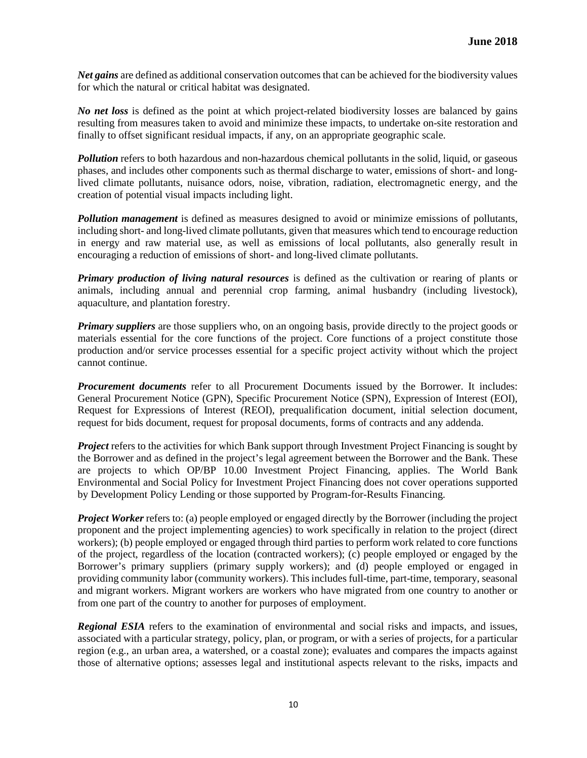*Net gains* are defined as additional conservation outcomes that can be achieved for the biodiversity values for which the natural or critical habitat was designated.

*No net loss* is defined as the point at which project-related biodiversity losses are balanced by gains resulting from measures taken to avoid and minimize these impacts, to undertake on-site restoration and finally to offset significant residual impacts, if any, on an appropriate geographic scale.

*Pollution* refers to both hazardous and non-hazardous chemical pollutants in the solid, liquid, or gaseous phases, and includes other components such as thermal discharge to water, emissions of short- and longlived climate pollutants, nuisance odors, noise, vibration, radiation, electromagnetic energy, and the creation of potential visual impacts including light.

*Pollution management* is defined as measures designed to avoid or minimize emissions of pollutants, including short- and long-lived climate pollutants, given that measures which tend to encourage reduction in energy and raw material use, as well as emissions of local pollutants, also generally result in encouraging a reduction of emissions of short- and long-lived climate pollutants.

*Primary production of living natural resources* is defined as the cultivation or rearing of plants or animals, including annual and perennial crop farming, animal husbandry (including livestock), aquaculture, and plantation forestry.

*Primary suppliers* are those suppliers who, on an ongoing basis, provide directly to the project goods or materials essential for the core functions of the project. Core functions of a project constitute those production and/or service processes essential for a specific project activity without which the project cannot continue.

*Procurement documents* refer to all Procurement Documents issued by the Borrower. It includes: General Procurement Notice (GPN), Specific Procurement Notice (SPN), Expression of Interest (EOI), Request for Expressions of Interest (REOI), prequalification document, initial selection document, request for bids document, request for proposal documents, forms of contracts and any addenda.

*Project* refers to the activities for which Bank support through Investment Project Financing is sought by the Borrower and as defined in the project's legal agreement between the Borrower and the Bank. These are projects to which OP/BP 10.00 Investment Project Financing, applies. The World Bank Environmental and Social Policy for Investment Project Financing does not cover operations supported by Development Policy Lending or those supported by Program-for-Results Financing.

*Project Worker* refers to: (a) people employed or engaged directly by the Borrower (including the project proponent and the project implementing agencies) to work specifically in relation to the project (direct workers); (b) people employed or engaged through third parties to perform work related to core functions of the project, regardless of the location (contracted workers); (c) people employed or engaged by the Borrower's primary suppliers (primary supply workers); and (d) people employed or engaged in providing community labor (community workers). This includes full-time, part-time, temporary, seasonal and migrant workers. Migrant workers are workers who have migrated from one country to another or from one part of the country to another for purposes of employment.

*Regional ESIA* refers to the examination of environmental and social risks and impacts, and issues, associated with a particular strategy, policy, plan, or program, or with a series of projects, for a particular region (e.g., an urban area, a watershed, or a coastal zone); evaluates and compares the impacts against those of alternative options; assesses legal and institutional aspects relevant to the risks, impacts and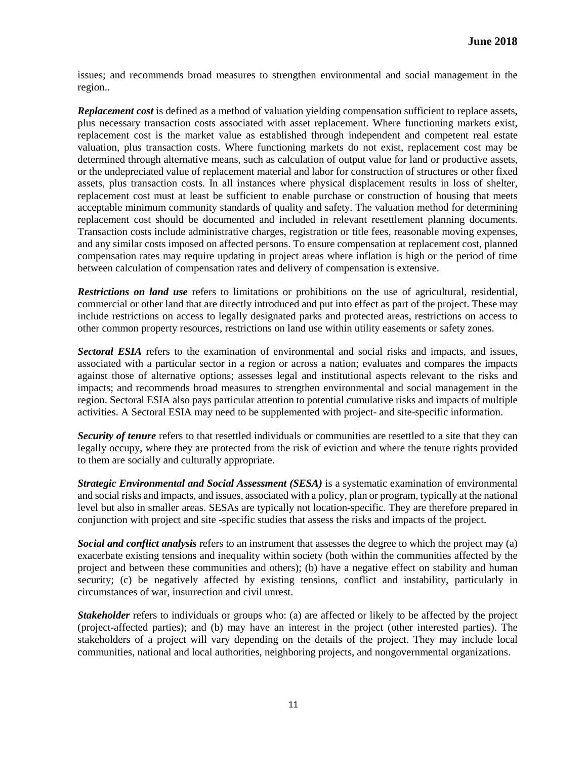issues; and recommends broad measures to strengthen environmental and social management in the region..

*Replacement cost* is defined as a method of valuation yielding compensation sufficient to replace assets, plus necessary transaction costs associated with asset replacement. Where functioning markets exist, replacement cost is the market value as established through independent and competent real estate valuation, plus transaction costs. Where functioning markets do not exist, replacement cost may be determined through alternative means, such as calculation of output value for land or productive assets, or the undepreciated value of replacement material and labor for construction of structures or other fixed assets, plus transaction costs. In all instances where physical displacement results in loss of shelter, replacement cost must at least be sufficient to enable purchase or construction of housing that meets acceptable minimum community standards of quality and safety. The valuation method for determining replacement cost should be documented and included in relevant resettlement planning documents. Transaction costs include administrative charges, registration or title fees, reasonable moving expenses, and any similar costs imposed on affected persons. To ensure compensation at replacement cost, planned compensation rates may require updating in project areas where inflation is high or the period of time between calculation of compensation rates and delivery of compensation is extensive.

*Restrictions on land use* refers to limitations or prohibitions on the use of agricultural, residential, commercial or other land that are directly introduced and put into effect as part of the project. These may include restrictions on access to legally designated parks and protected areas, restrictions on access to other common property resources, restrictions on land use within utility easements or safety zones.

*Sectoral ESIA* refers to the examination of environmental and social risks and impacts, and issues, associated with a particular sector in a region or across a nation; evaluates and compares the impacts against those of alternative options; assesses legal and institutional aspects relevant to the risks and impacts; and recommends broad measures to strengthen environmental and social management in the region. Sectoral ESIA also pays particular attention to potential cumulative risks and impacts of multiple activities. A Sectoral ESIA may need to be supplemented with project- and site-specific information.

**Security of tenure** refers to that resettled individuals or communities are resettled to a site that they can legally occupy, where they are protected from the risk of eviction and where the tenure rights provided to them are socially and culturally appropriate.

*Strategic Environmental and Social Assessment (SESA)* is a systematic examination of environmental and social risks and impacts, and issues, associated with a policy, plan or program, typically at the national level but also in smaller areas. SESAs are typically not location-specific. They are therefore prepared in conjunction with project and site -specific studies that assess the risks and impacts of the project.

*Social and conflict analysis* refers to an instrument that assesses the degree to which the project may (a) exacerbate existing tensions and inequality within society (both within the communities affected by the project and between these communities and others); (b) have a negative effect on stability and human security; (c) be negatively affected by existing tensions, conflict and instability, particularly in circumstances of war, insurrection and civil unrest.

*Stakeholder* refers to individuals or groups who: (a) are affected or likely to be affected by the project (project-affected parties); and (b) may have an interest in the project (other interested parties). The stakeholders of a project will vary depending on the details of the project. They may include local communities, national and local authorities, neighboring projects, and nongovernmental organizations.